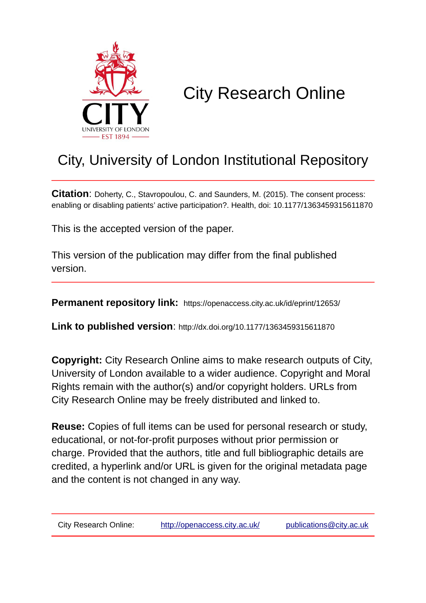

# City Research Online

## City, University of London Institutional Repository

**Citation**: Doherty, C., Stavropoulou, C. and Saunders, M. (2015). The consent process: enabling or disabling patients' active participation?. Health, doi: 10.1177/1363459315611870

This is the accepted version of the paper.

This version of the publication may differ from the final published version.

**Permanent repository link:** https://openaccess.city.ac.uk/id/eprint/12653/

**Link to published version**: http://dx.doi.org/10.1177/1363459315611870

**Copyright:** City Research Online aims to make research outputs of City, University of London available to a wider audience. Copyright and Moral Rights remain with the author(s) and/or copyright holders. URLs from City Research Online may be freely distributed and linked to.

**Reuse:** Copies of full items can be used for personal research or study, educational, or not-for-profit purposes without prior permission or charge. Provided that the authors, title and full bibliographic details are credited, a hyperlink and/or URL is given for the original metadata page and the content is not changed in any way.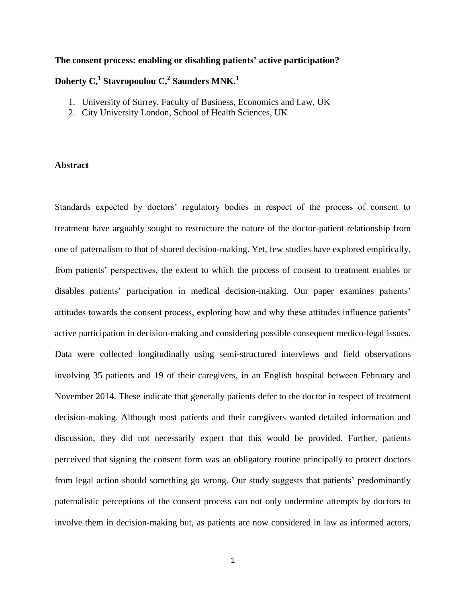## **The consent process: enabling or disabling patients' active participation?**

## **Doherty C,<sup>1</sup> Stavropoulou C,<sup>2</sup> Saunders MNK.<sup>1</sup>**

- 1. University of Surrey, Faculty of Business, Economics and Law, UK
- 2. City University London, School of Health Sciences, UK

## **Abstract**

Standards expected by doctors' regulatory bodies in respect of the process of consent to treatment have arguably sought to restructure the nature of the doctor-patient relationship from one of paternalism to that of shared decision-making. Yet, few studies have explored empirically, from patients' perspectives, the extent to which the process of consent to treatment enables or disables patients' participation in medical decision-making. Our paper examines patients' attitudes towards the consent process, exploring how and why these attitudes influence patients' active participation in decision-making and considering possible consequent medico-legal issues. Data were collected longitudinally using semi-structured interviews and field observations involving 35 patients and 19 of their caregivers, in an English hospital between February and November 2014. These indicate that generally patients defer to the doctor in respect of treatment decision-making. Although most patients and their caregivers wanted detailed information and discussion, they did not necessarily expect that this would be provided. Further, patients perceived that signing the consent form was an obligatory routine principally to protect doctors from legal action should something go wrong. Our study suggests that patients' predominantly paternalistic perceptions of the consent process can not only undermine attempts by doctors to involve them in decision-making but, as patients are now considered in law as informed actors,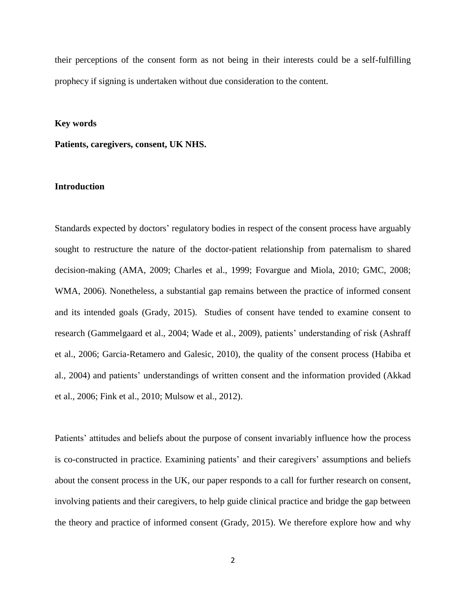their perceptions of the consent form as not being in their interests could be a self-fulfilling prophecy if signing is undertaken without due consideration to the content.

#### **Key words**

**Patients, caregivers, consent, UK NHS.**

## **Introduction**

Standards expected by doctors' regulatory bodies in respect of the consent process have arguably sought to restructure the nature of the doctor-patient relationship from paternalism to shared decision-making (AMA, 2009; Charles et al., 1999; Fovargue and Miola, 2010; GMC, 2008; WMA, 2006). Nonetheless, a substantial gap remains between the practice of informed consent and its intended goals (Grady, 2015). Studies of consent have tended to examine consent to research (Gammelgaard et al., 2004; Wade et al., 2009), patients' understanding of risk (Ashraff et al., 2006; Garcia-Retamero and Galesic, 2010), the quality of the consent process (Habiba et al., 2004) and patients' understandings of written consent and the information provided (Akkad et al., 2006; Fink et al., 2010; Mulsow et al., 2012).

Patients' attitudes and beliefs about the purpose of consent invariably influence how the process is co-constructed in practice. Examining patients' and their caregivers' assumptions and beliefs about the consent process in the UK, our paper responds to a call for further research on consent, involving patients and their caregivers, to help guide clinical practice and bridge the gap between the theory and practice of informed consent (Grady, 2015). We therefore explore how and why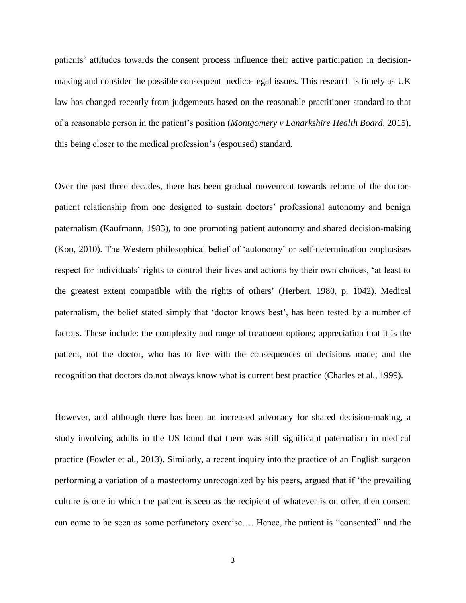patients' attitudes towards the consent process influence their active participation in decisionmaking and consider the possible consequent medico-legal issues. This research is timely as UK law has changed recently from judgements based on the reasonable practitioner standard to that of a reasonable person in the patient's position (*Montgomery v Lanarkshire Health Board*, 2015), this being closer to the medical profession's (espoused) standard.

Over the past three decades, there has been gradual movement towards reform of the doctorpatient relationship from one designed to sustain doctors' professional autonomy and benign paternalism (Kaufmann, 1983), to one promoting patient autonomy and shared decision-making (Kon, 2010). The Western philosophical belief of 'autonomy' or self-determination emphasises respect for individuals' rights to control their lives and actions by their own choices, 'at least to the greatest extent compatible with the rights of others' (Herbert, 1980, p. 1042). Medical paternalism, the belief stated simply that 'doctor knows best', has been tested by a number of factors. These include: the complexity and range of treatment options; appreciation that it is the patient, not the doctor, who has to live with the consequences of decisions made; and the recognition that doctors do not always know what is current best practice (Charles et al., 1999).

However, and although there has been an increased advocacy for shared decision-making, a study involving adults in the US found that there was still significant paternalism in medical practice (Fowler et al., 2013). Similarly, a recent inquiry into the practice of an English surgeon performing a variation of a mastectomy unrecognized by his peers, argued that if 'the prevailing culture is one in which the patient is seen as the recipient of whatever is on offer, then consent can come to be seen as some perfunctory exercise…. Hence, the patient is "consented" and the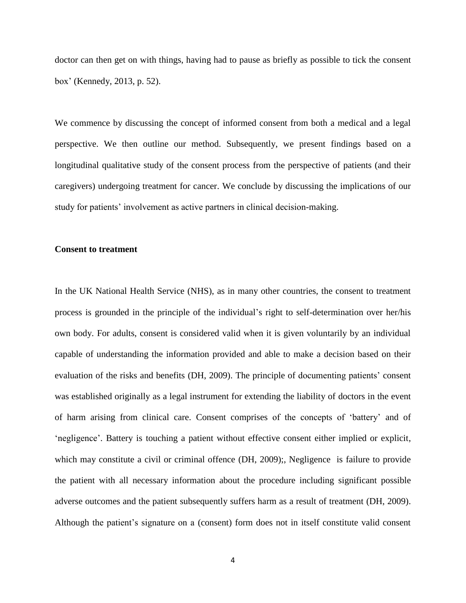doctor can then get on with things, having had to pause as briefly as possible to tick the consent box' (Kennedy, 2013, p. 52).

We commence by discussing the concept of informed consent from both a medical and a legal perspective. We then outline our method. Subsequently, we present findings based on a longitudinal qualitative study of the consent process from the perspective of patients (and their caregivers) undergoing treatment for cancer. We conclude by discussing the implications of our study for patients' involvement as active partners in clinical decision-making.

## **Consent to treatment**

In the UK National Health Service (NHS), as in many other countries, the consent to treatment process is grounded in the principle of the individual's right to self-determination over her/his own body. For adults, consent is considered valid when it is given voluntarily by an individual capable of understanding the information provided and able to make a decision based on their evaluation of the risks and benefits (DH, 2009). The principle of documenting patients' consent was established originally as a legal instrument for extending the liability of doctors in the event of harm arising from clinical care. Consent comprises of the concepts of 'battery' and of 'negligence'. Battery is touching a patient without effective consent either implied or explicit, which may constitute a civil or criminal offence (DH, 2009);, Negligence is failure to provide the patient with all necessary information about the procedure including significant possible adverse outcomes and the patient subsequently suffers harm as a result of treatment (DH, 2009). Although the patient's signature on a (consent) form does not in itself constitute valid consent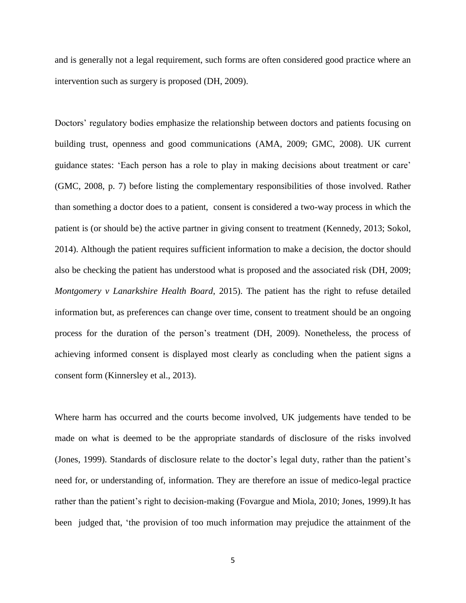and is generally not a legal requirement, such forms are often considered good practice where an intervention such as surgery is proposed (DH, 2009).

Doctors' regulatory bodies emphasize the relationship between doctors and patients focusing on building trust, openness and good communications (AMA, 2009; GMC, 2008). UK current guidance states: 'Each person has a role to play in making decisions about treatment or care' (GMC, 2008, p. 7) before listing the complementary responsibilities of those involved. Rather than something a doctor does to a patient, consent is considered a two-way process in which the patient is (or should be) the active partner in giving consent to treatment (Kennedy, 2013; Sokol, 2014). Although the patient requires sufficient information to make a decision, the doctor should also be checking the patient has understood what is proposed and the associated risk (DH, 2009; *Montgomery v Lanarkshire Health Board*, 2015). The patient has the right to refuse detailed information but, as preferences can change over time, consent to treatment should be an ongoing process for the duration of the person's treatment (DH, 2009). Nonetheless, the process of achieving informed consent is displayed most clearly as concluding when the patient signs a consent form (Kinnersley et al., 2013).

Where harm has occurred and the courts become involved, UK judgements have tended to be made on what is deemed to be the appropriate standards of disclosure of the risks involved (Jones, 1999). Standards of disclosure relate to the doctor's legal duty, rather than the patient's need for, or understanding of, information. They are therefore an issue of medico-legal practice rather than the patient's right to decision-making (Fovargue and Miola, 2010; Jones, 1999).It has been judged that, 'the provision of too much information may prejudice the attainment of the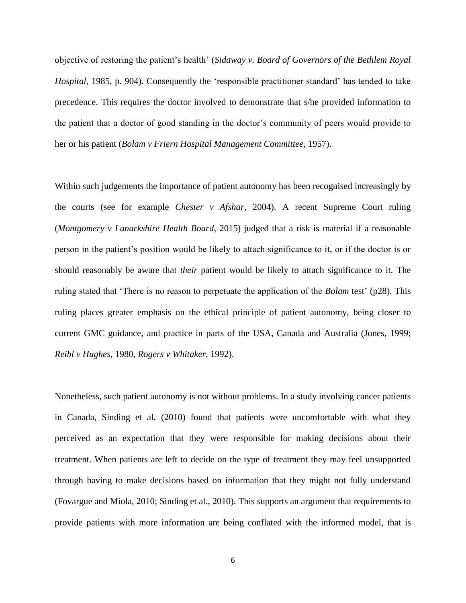objective of restoring the patient's health' (*Sidaway v. Board of Governors of the Bethlem Royal Hospital*, 1985, p. 904). Consequently the 'responsible practitioner standard' has tended to take precedence. This requires the doctor involved to demonstrate that s/he provided information to the patient that a doctor of good standing in the doctor's community of peers would provide to her or his patient (*Bolam v Friern Hospital Management Committee*, 1957).

Within such judgements the importance of patient autonomy has been recognised increasingly by the courts (see for example *Chester v Afshar*, 2004). A recent Supreme Court ruling (*Montgomery v Lanarkshire Health Board*, 2015) judged that a risk is material if a reasonable person in the patient's position would be likely to attach significance to it, or if the doctor is or should reasonably be aware that *their* patient would be likely to attach significance to it. The ruling stated that 'There is no reason to perpetuate the application of the *Bolam* test' (p28). This ruling places greater emphasis on the ethical principle of patient autonomy, being closer to current GMC guidance, and practice in parts of the USA, Canada and Australia (Jones, 1999; *Reibl v Hughes*, 1980, *Rogers v Whitaker*, 1992).

Nonetheless, such patient autonomy is not without problems. In a study involving cancer patients in Canada, Sinding et al. (2010) found that patients were uncomfortable with what they perceived as an expectation that they were responsible for making decisions about their treatment. When patients are left to decide on the type of treatment they may feel unsupported through having to make decisions based on information that they might not fully understand (Fovargue and Miola, 2010; Sinding et al., 2010). This supports an argument that requirements to provide patients with more information are being conflated with the informed model, that is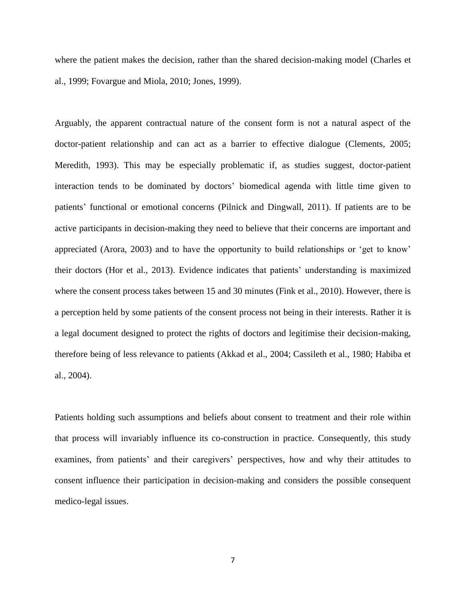where the patient makes the decision, rather than the shared decision-making model (Charles et al., 1999; Fovargue and Miola, 2010; Jones, 1999).

Arguably, the apparent contractual nature of the consent form is not a natural aspect of the doctor-patient relationship and can act as a barrier to effective dialogue (Clements, 2005; Meredith, 1993). This may be especially problematic if, as studies suggest, doctor-patient interaction tends to be dominated by doctors' biomedical agenda with little time given to patients' functional or emotional concerns (Pilnick and Dingwall, 2011). If patients are to be active participants in decision-making they need to believe that their concerns are important and appreciated (Arora, 2003) and to have the opportunity to build relationships or 'get to know' their doctors (Hor et al., 2013). Evidence indicates that patients' understanding is maximized where the consent process takes between 15 and 30 minutes (Fink et al., 2010). However, there is a perception held by some patients of the consent process not being in their interests. Rather it is a legal document designed to protect the rights of doctors and legitimise their decision-making, therefore being of less relevance to patients (Akkad et al., 2004; Cassileth et al., 1980; Habiba et al., 2004).

Patients holding such assumptions and beliefs about consent to treatment and their role within that process will invariably influence its co-construction in practice. Consequently, this study examines, from patients' and their caregivers' perspectives, how and why their attitudes to consent influence their participation in decision-making and considers the possible consequent medico-legal issues.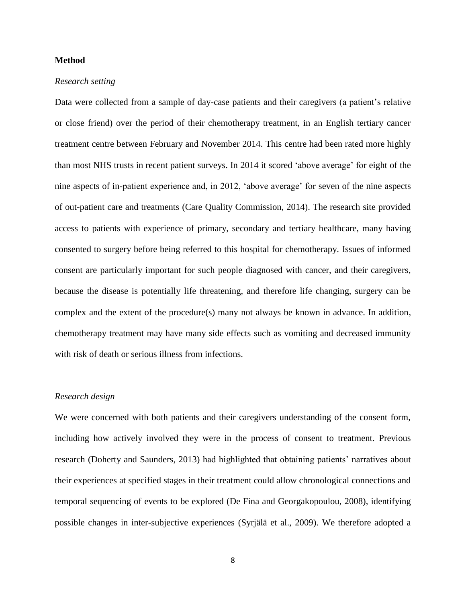## **Method**

#### *Research setting*

Data were collected from a sample of day-case patients and their caregivers (a patient's relative or close friend) over the period of their chemotherapy treatment, in an English tertiary cancer treatment centre between February and November 2014. This centre had been rated more highly than most NHS trusts in recent patient surveys. In 2014 it scored 'above average' for eight of the nine aspects of in-patient experience and, in 2012, 'above average' for seven of the nine aspects of out-patient care and treatments (Care Quality Commission, 2014). The research site provided access to patients with experience of primary, secondary and tertiary healthcare, many having consented to surgery before being referred to this hospital for chemotherapy. Issues of informed consent are particularly important for such people diagnosed with cancer, and their caregivers, because the disease is potentially life threatening, and therefore life changing, surgery can be complex and the extent of the procedure(s) many not always be known in advance. In addition, chemotherapy treatment may have many side effects such as vomiting and decreased immunity with risk of death or serious illness from infections.

## *Research design*

We were concerned with both patients and their caregivers understanding of the consent form, including how actively involved they were in the process of consent to treatment. Previous research (Doherty and Saunders, 2013) had highlighted that obtaining patients' narratives about their experiences at specified stages in their treatment could allow chronological connections and temporal sequencing of events to be explored (De Fina and Georgakopoulou, 2008), identifying possible changes in inter-subjective experiences (Syrjälä et al., 2009). We therefore adopted a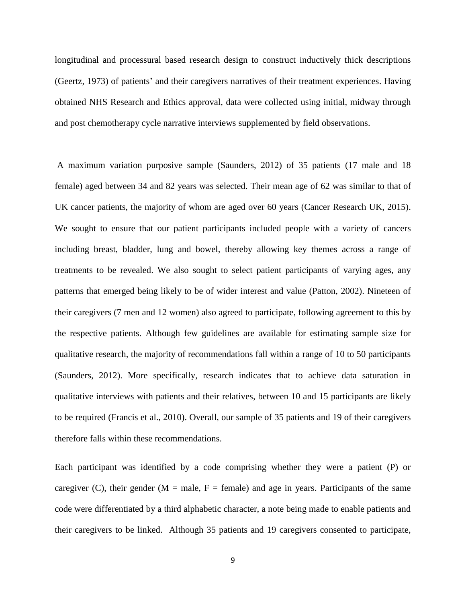longitudinal and processural based research design to construct inductively thick descriptions (Geertz, 1973) of patients' and their caregivers narratives of their treatment experiences. Having obtained NHS Research and Ethics approval, data were collected using initial, midway through and post chemotherapy cycle narrative interviews supplemented by field observations.

A maximum variation purposive sample (Saunders, 2012) of 35 patients (17 male and 18 female) aged between 34 and 82 years was selected. Their mean age of 62 was similar to that of UK cancer patients, the majority of whom are aged over 60 years (Cancer Research UK, 2015). We sought to ensure that our patient participants included people with a variety of cancers including breast, bladder, lung and bowel, thereby allowing key themes across a range of treatments to be revealed. We also sought to select patient participants of varying ages, any patterns that emerged being likely to be of wider interest and value (Patton, 2002). Nineteen of their caregivers (7 men and 12 women) also agreed to participate, following agreement to this by the respective patients. Although few guidelines are available for estimating sample size for qualitative research, the majority of recommendations fall within a range of 10 to 50 participants (Saunders, 2012). More specifically, research indicates that to achieve data saturation in qualitative interviews with patients and their relatives, between 10 and 15 participants are likely to be required (Francis et al., 2010). Overall, our sample of 35 patients and 19 of their caregivers therefore falls within these recommendations.

Each participant was identified by a code comprising whether they were a patient (P) or caregiver (C), their gender ( $M =$  male,  $F =$  female) and age in years. Participants of the same code were differentiated by a third alphabetic character, a note being made to enable patients and their caregivers to be linked. Although 35 patients and 19 caregivers consented to participate,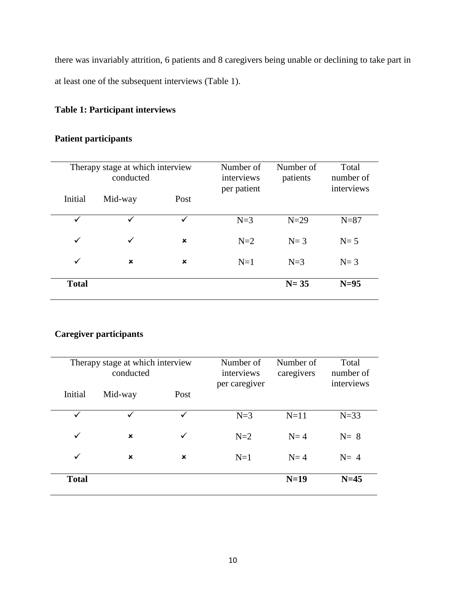there was invariably attrition, 6 patients and 8 caregivers being unable or declining to take part in at least one of the subsequent interviews (Table 1).

## **Table 1: Participant interviews**

## **Patient participants**

| Therapy stage at which interview<br>conducted |         |                | Number of<br>interviews<br>per patient | Number of<br>patients | Total<br>number of<br>interviews |
|-----------------------------------------------|---------|----------------|----------------------------------------|-----------------------|----------------------------------|
| Initial                                       | Mid-way | Post           |                                        |                       |                                  |
| $\checkmark$                                  | ✓       | ✓              | $N=3$                                  | $N=29$                | $N=87$                           |
| $\checkmark$                                  | ✓       | $\pmb{\times}$ | $N=2$                                  | $N=3$                 | $N=5$                            |
| $\checkmark$                                  | ×       | ×              | $N=1$                                  | $N=3$                 | $N=3$                            |
| <b>Total</b>                                  |         |                |                                        | $N = 35$              | $N=95$                           |

## **Caregiver participants**

| Therapy stage at which interview<br>conducted |                |      | Number of<br>interviews<br>per caregiver | Number of<br>caregivers | Total<br>number of<br>interviews |
|-----------------------------------------------|----------------|------|------------------------------------------|-------------------------|----------------------------------|
| Initial                                       | Mid-way        | Post |                                          |                         |                                  |
| ✓                                             |                | ✓    | $N=3$                                    | $N=11$                  | $N=33$                           |
| $\checkmark$                                  | $\pmb{\times}$ | ✓    | $N=2$                                    | $N=4$                   | $N=8$                            |
| $\checkmark$                                  | $\pmb{\times}$ | ×    | $N=1$                                    | $N=4$                   | $N=4$                            |
| <b>Total</b>                                  |                |      |                                          | $N=19$                  | $N=45$                           |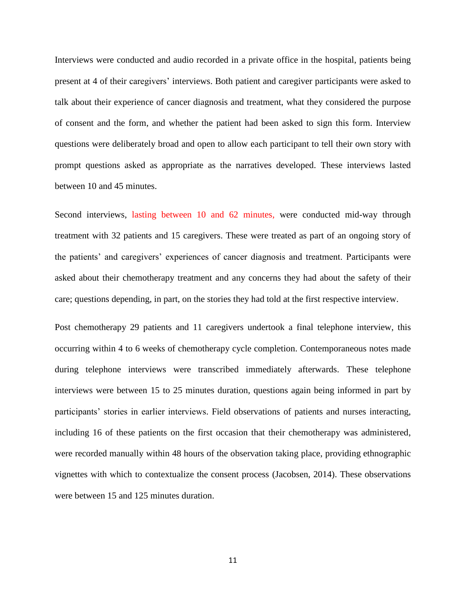Interviews were conducted and audio recorded in a private office in the hospital, patients being present at 4 of their caregivers' interviews. Both patient and caregiver participants were asked to talk about their experience of cancer diagnosis and treatment, what they considered the purpose of consent and the form, and whether the patient had been asked to sign this form. Interview questions were deliberately broad and open to allow each participant to tell their own story with prompt questions asked as appropriate as the narratives developed. These interviews lasted between 10 and 45 minutes.

Second interviews, lasting between 10 and 62 minutes*,* were conducted mid-way through treatment with 32 patients and 15 caregivers. These were treated as part of an ongoing story of the patients' and caregivers' experiences of cancer diagnosis and treatment. Participants were asked about their chemotherapy treatment and any concerns they had about the safety of their care; questions depending, in part, on the stories they had told at the first respective interview.

Post chemotherapy 29 patients and 11 caregivers undertook a final telephone interview, this occurring within 4 to 6 weeks of chemotherapy cycle completion. Contemporaneous notes made during telephone interviews were transcribed immediately afterwards. These telephone interviews were between 15 to 25 minutes duration, questions again being informed in part by participants' stories in earlier interviews. Field observations of patients and nurses interacting, including 16 of these patients on the first occasion that their chemotherapy was administered, were recorded manually within 48 hours of the observation taking place, providing ethnographic vignettes with which to contextualize the consent process (Jacobsen, 2014). These observations were between 15 and 125 minutes duration.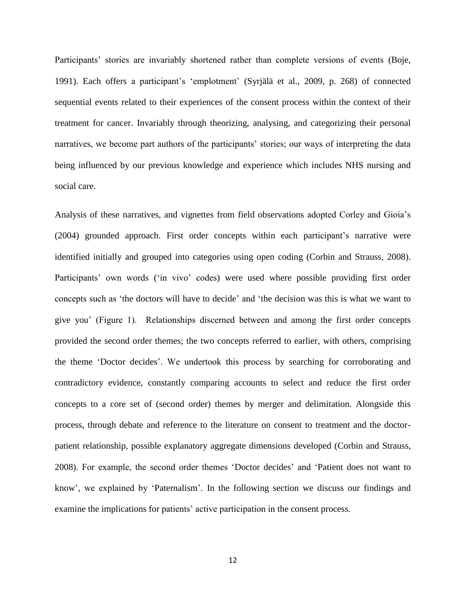Participants' stories are invariably shortened rather than complete versions of events (Boje, 1991). Each offers a participant's 'emplotment' (Syrjälä et al., 2009, p. 268) of connected sequential events related to their experiences of the consent process within the context of their treatment for cancer. Invariably through theorizing, analysing, and categorizing their personal narratives, we become part authors of the participants' stories; our ways of interpreting the data being influenced by our previous knowledge and experience which includes NHS nursing and social care.

Analysis of these narratives, and vignettes from field observations adopted Corley and Gioia's (2004) grounded approach. First order concepts within each participant's narrative were identified initially and grouped into categories using open coding (Corbin and Strauss, 2008). Participants' own words ('in vivo' codes) were used where possible providing first order concepts such as 'the doctors will have to decide' and 'the decision was this is what we want to give you' (Figure 1). Relationships discerned between and among the first order concepts provided the second order themes; the two concepts referred to earlier, with others, comprising the theme 'Doctor decides'. We undertook this process by searching for corroborating and contradictory evidence, constantly comparing accounts to select and reduce the first order concepts to a core set of (second order) themes by merger and delimitation. Alongside this process, through debate and reference to the literature on consent to treatment and the doctorpatient relationship, possible explanatory aggregate dimensions developed (Corbin and Strauss, 2008). For example, the second order themes 'Doctor decides' and 'Patient does not want to know', we explained by 'Paternalism'. In the following section we discuss our findings and examine the implications for patients' active participation in the consent process.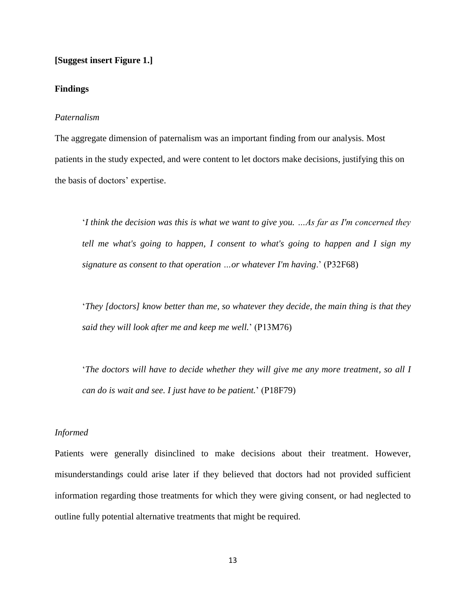## **[Suggest insert Figure 1.]**

## **Findings**

## *Paternalism*

The aggregate dimension of paternalism was an important finding from our analysis. Most patients in the study expected, and were content to let doctors make decisions, justifying this on the basis of doctors' expertise.

'*I think the decision was this is what we want to give you. …As far as I'm concerned they tell me what's going to happen, I consent to what's going to happen and I sign my signature as consent to that operation …or whatever I'm having*.' (P32F68)

'*They [doctors] know better than me, so whatever they decide, the main thing is that they said they will look after me and keep me well.*' (P13M76)

'*The doctors will have to decide whether they will give me any more treatment, so all I can do is wait and see. I just have to be patient.*' (P18F79)

## *Informed*

Patients were generally disinclined to make decisions about their treatment. However, misunderstandings could arise later if they believed that doctors had not provided sufficient information regarding those treatments for which they were giving consent, or had neglected to outline fully potential alternative treatments that might be required.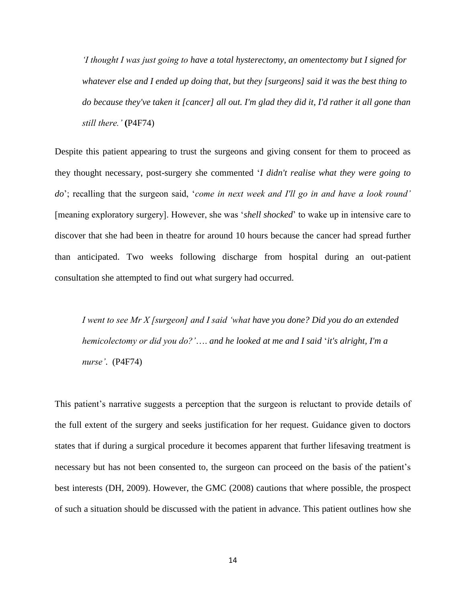*'I thought I was just going to have a total hysterectomy, an omentectomy but I signed for whatever else and I ended up doing that, but they [surgeons] said it was the best thing to do because they've taken it [cancer] all out. I'm glad they did it, I'd rather it all gone than still there.'* **(**P4F74)

Despite this patient appearing to trust the surgeons and giving consent for them to proceed as they thought necessary, post-surgery she commented '*I didn't realise what they were going to do*'; recalling that the surgeon said, '*come in next week and I'll go in and have a look round'*  [meaning exploratory surgery]. However, she was '*shell shocked*' to wake up in intensive care to discover that she had been in theatre for around 10 hours because the cancer had spread further than anticipated. Two weeks following discharge from hospital during an out-patient consultation she attempted to find out what surgery had occurred.

*I went to see Mr X [surgeon] and I said 'what have you done? Did you do an extended hemicolectomy or did you do?'*…. *and he looked at me and I said* '*it's alright, I'm a nurse'*. (P4F74)

This patient's narrative suggests a perception that the surgeon is reluctant to provide details of the full extent of the surgery and seeks justification for her request. Guidance given to doctors states that if during a surgical procedure it becomes apparent that further lifesaving treatment is necessary but has not been consented to, the surgeon can proceed on the basis of the patient's best interests (DH, 2009). However, the GMC (2008) cautions that where possible, the prospect of such a situation should be discussed with the patient in advance. This patient outlines how she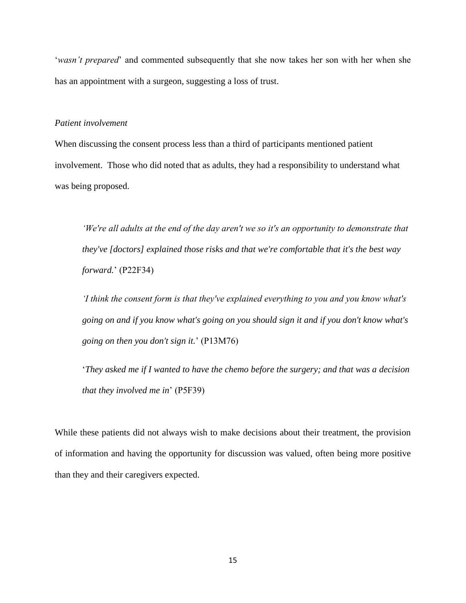'*wasn't prepared*' and commented subsequently that she now takes her son with her when she has an appointment with a surgeon, suggesting a loss of trust.

#### *Patient involvement*

When discussing the consent process less than a third of participants mentioned patient involvement. Those who did noted that as adults, they had a responsibility to understand what was being proposed.

*'We're all adults at the end of the day aren't we so it's an opportunity to demonstrate that they've [doctors] explained those risks and that we're comfortable that it's the best way forward.*' (P22F34)

*'I think the consent form is that they've explained everything to you and you know what's going on and if you know what's going on you should sign it and if you don't know what's going on then you don't sign it.*' (P13M76)

'*They asked me if I wanted to have the chemo before the surgery; and that was a decision that they involved me in*' (P5F39)

While these patients did not always wish to make decisions about their treatment, the provision of information and having the opportunity for discussion was valued, often being more positive than they and their caregivers expected.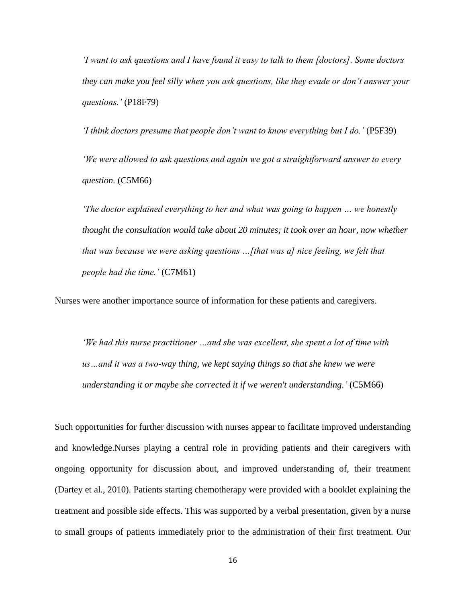*'I want to ask questions and I have found it easy to talk to them [doctors]. Some doctors they can make you feel silly when you ask questions, like they evade or don't answer your questions.'* (P18F79)

*'I think doctors presume that people don't want to know everything but I do.'* (P5F39) *'We were allowed to ask questions and again we got a straightforward answer to every question.* (C5M66)

*'The doctor explained everything to her and what was going to happen … we honestly thought the consultation would take about 20 minutes; it took over an hour, now whether that was because we were asking questions …[that was a] nice feeling, we felt that people had the time.'* (C7M61)

Nurses were another importance source of information for these patients and caregivers.

*'We had this nurse practitioner …and she was excellent, she spent a lot of time with us…and it was a two-way thing, we kept saying things so that she knew we were understanding it or maybe she corrected it if we weren't understanding.'* (C5M66)

Such opportunities for further discussion with nurses appear to facilitate improved understanding and knowledge.Nurses playing a central role in providing patients and their caregivers with ongoing opportunity for discussion about, and improved understanding of, their treatment (Dartey et al., 2010). Patients starting chemotherapy were provided with a booklet explaining the treatment and possible side effects. This was supported by a verbal presentation, given by a nurse to small groups of patients immediately prior to the administration of their first treatment. Our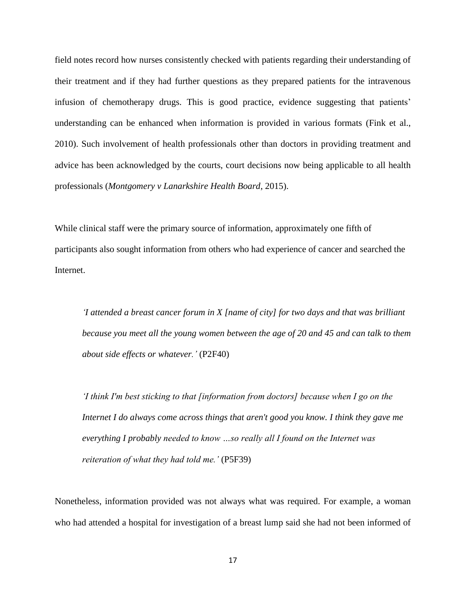field notes record how nurses consistently checked with patients regarding their understanding of their treatment and if they had further questions as they prepared patients for the intravenous infusion of chemotherapy drugs. This is good practice, evidence suggesting that patients' understanding can be enhanced when information is provided in various formats (Fink et al., 2010). Such involvement of health professionals other than doctors in providing treatment and advice has been acknowledged by the courts, court decisions now being applicable to all health professionals (*Montgomery v Lanarkshire Health Board*, 2015).

While clinical staff were the primary source of information, approximately one fifth of participants also sought information from others who had experience of cancer and searched the Internet.

*'I attended a breast cancer forum in X [name of city] for two days and that was brilliant because you meet all the young women between the age of 20 and 45 and can talk to them about side effects or whatever.'* (P2F40)

*'I think I'm best sticking to that [information from doctors] because when I go on the Internet I do always come across things that aren't good you know. I think they gave me everything I probably needed to know …so really all I found on the Internet was reiteration of what they had told me.'* (P5F39)

Nonetheless, information provided was not always what was required. For example, a woman who had attended a hospital for investigation of a breast lump said she had not been informed of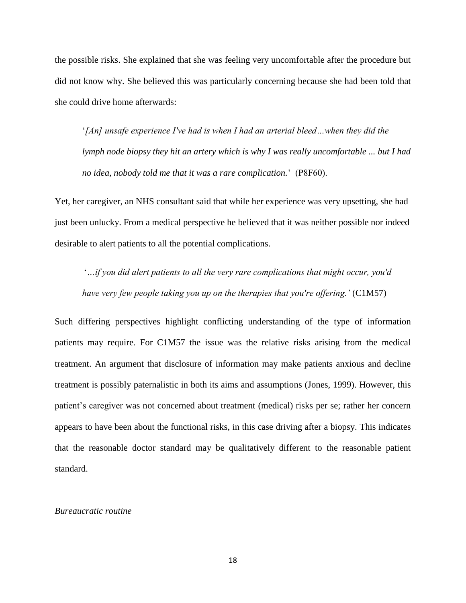the possible risks. She explained that she was feeling very uncomfortable after the procedure but did not know why. She believed this was particularly concerning because she had been told that she could drive home afterwards:

'*[An] unsafe experience I've had is when I had an arterial bleed…when they did the lymph node biopsy they hit an artery which is why I was really uncomfortable ... but I had no idea, nobody told me that it was a rare complication.*' (P8F60).

Yet, her caregiver, an NHS consultant said that while her experience was very upsetting, she had just been unlucky. From a medical perspective he believed that it was neither possible nor indeed desirable to alert patients to all the potential complications.

'*…if you did alert patients to all the very rare complications that might occur, you'd have very few people taking you up on the therapies that you're offering.'* (C1M57)

Such differing perspectives highlight conflicting understanding of the type of information patients may require. For C1M57 the issue was the relative risks arising from the medical treatment. An argument that disclosure of information may make patients anxious and decline treatment is possibly paternalistic in both its aims and assumptions (Jones, 1999). However, this patient's caregiver was not concerned about treatment (medical) risks per se; rather her concern appears to have been about the functional risks, in this case driving after a biopsy. This indicates that the reasonable doctor standard may be qualitatively different to the reasonable patient standard.

## *Bureaucratic routine*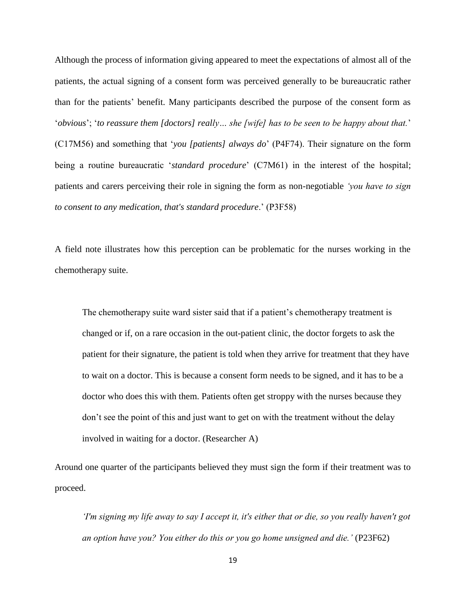Although the process of information giving appeared to meet the expectations of almost all of the patients, the actual signing of a consent form was perceived generally to be bureaucratic rather than for the patients' benefit. Many participants described the purpose of the consent form as '*obvious*'; '*to reassure them [doctors] really… she [wife] has to be seen to be happy about that.*' (C17M56) and something that '*you [patients] always do*' (P4F74). Their signature on the form being a routine bureaucratic '*standard procedure*' (C7M61) in the interest of the hospital; patients and carers perceiving their role in signing the form as non-negotiable *'you have to sign to consent to any medication, that's standard procedure*.' (P3F58)

A field note illustrates how this perception can be problematic for the nurses working in the chemotherapy suite.

The chemotherapy suite ward sister said that if a patient's chemotherapy treatment is changed or if, on a rare occasion in the out-patient clinic, the doctor forgets to ask the patient for their signature, the patient is told when they arrive for treatment that they have to wait on a doctor. This is because a consent form needs to be signed, and it has to be a doctor who does this with them. Patients often get stroppy with the nurses because they don't see the point of this and just want to get on with the treatment without the delay involved in waiting for a doctor. (Researcher A)

Around one quarter of the participants believed they must sign the form if their treatment was to proceed.

*'I'm signing my life away to say I accept it, it's either that or die, so you really haven't got an option have you? You either do this or you go home unsigned and die.'* (P23F62)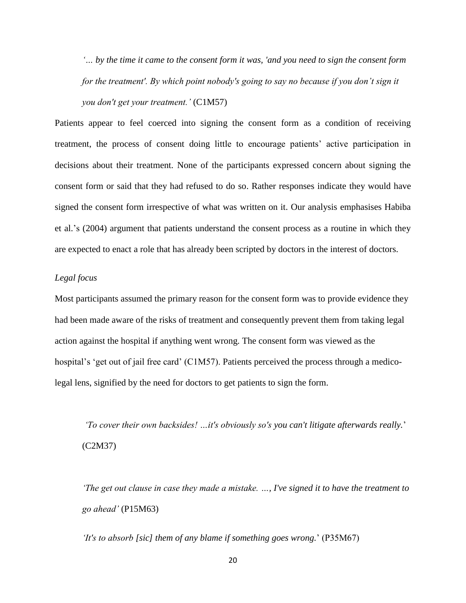*'… by the time it came to the consent form it was, 'and you need to sign the consent form for the treatment'. By which point nobody's going to say no because if you don't sign it you don't get your treatment.'* (C1M57)

Patients appear to feel coerced into signing the consent form as a condition of receiving treatment, the process of consent doing little to encourage patients' active participation in decisions about their treatment. None of the participants expressed concern about signing the consent form or said that they had refused to do so. Rather responses indicate they would have signed the consent form irrespective of what was written on it. Our analysis emphasises Habiba et al.'s (2004) argument that patients understand the consent process as a routine in which they are expected to enact a role that has already been scripted by doctors in the interest of doctors.

## *Legal focus*

Most participants assumed the primary reason for the consent form was to provide evidence they had been made aware of the risks of treatment and consequently prevent them from taking legal action against the hospital if anything went wrong. The consent form was viewed as the hospital's 'get out of jail free card' (C1M57). Patients perceived the process through a medicolegal lens, signified by the need for doctors to get patients to sign the form.

*'To cover their own backsides! …it's obviously so's you can't litigate afterwards really.*' (C2M37)

*'The get out clause in case they made a mistake. …, I've signed it to have the treatment to go ahead'* (P15M63)

*'It's to absorb [sic] them of any blame if something goes wrong.*' (P35M67)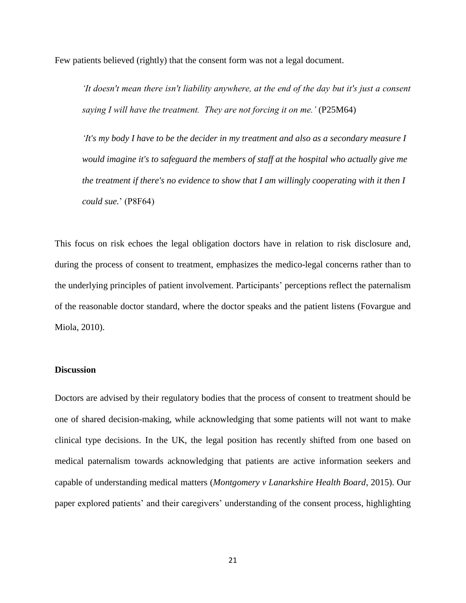Few patients believed (rightly) that the consent form was not a legal document.

*'It doesn't mean there isn't liability anywhere, at the end of the day but it's just a consent saying I will have the treatment. They are not forcing it on me.'* (P25M64)

*'It's my body I have to be the decider in my treatment and also as a secondary measure I would imagine it's to safeguard the members of staff at the hospital who actually give me the treatment if there's no evidence to show that I am willingly cooperating with it then I could sue.*' (P8F64)

This focus on risk echoes the legal obligation doctors have in relation to risk disclosure and, during the process of consent to treatment, emphasizes the medico-legal concerns rather than to the underlying principles of patient involvement. Participants' perceptions reflect the paternalism of the reasonable doctor standard, where the doctor speaks and the patient listens (Fovargue and Miola, 2010).

## **Discussion**

Doctors are advised by their regulatory bodies that the process of consent to treatment should be one of shared decision-making, while acknowledging that some patients will not want to make clinical type decisions. In the UK, the legal position has recently shifted from one based on medical paternalism towards acknowledging that patients are active information seekers and capable of understanding medical matters (*Montgomery v Lanarkshire Health Board*, 2015). Our paper explored patients' and their caregivers' understanding of the consent process, highlighting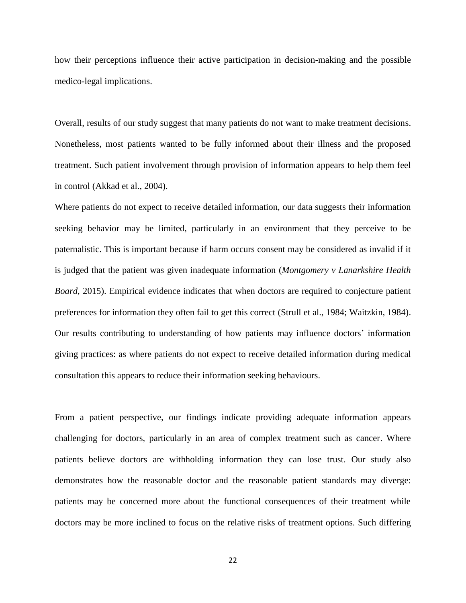how their perceptions influence their active participation in decision-making and the possible medico-legal implications.

Overall, results of our study suggest that many patients do not want to make treatment decisions. Nonetheless, most patients wanted to be fully informed about their illness and the proposed treatment. Such patient involvement through provision of information appears to help them feel in control (Akkad et al., 2004).

Where patients do not expect to receive detailed information, our data suggests their information seeking behavior may be limited, particularly in an environment that they perceive to be paternalistic. This is important because if harm occurs consent may be considered as invalid if it is judged that the patient was given inadequate information (*Montgomery v Lanarkshire Health Board*, 2015). Empirical evidence indicates that when doctors are required to conjecture patient preferences for information they often fail to get this correct (Strull et al., 1984; Waitzkin, 1984). Our results contributing to understanding of how patients may influence doctors' information giving practices: as where patients do not expect to receive detailed information during medical consultation this appears to reduce their information seeking behaviours.

From a patient perspective, our findings indicate providing adequate information appears challenging for doctors, particularly in an area of complex treatment such as cancer. Where patients believe doctors are withholding information they can lose trust. Our study also demonstrates how the reasonable doctor and the reasonable patient standards may diverge: patients may be concerned more about the functional consequences of their treatment while doctors may be more inclined to focus on the relative risks of treatment options. Such differing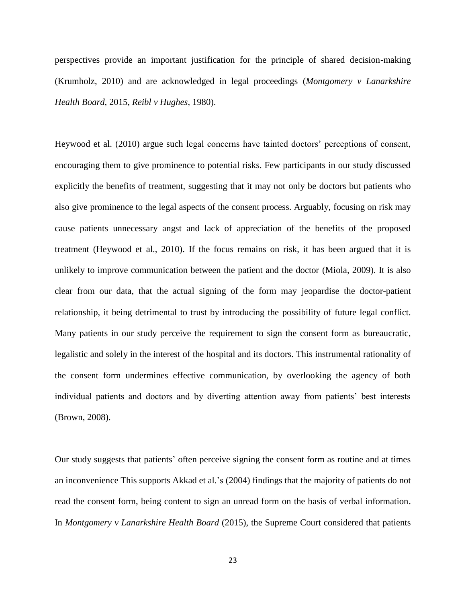perspectives provide an important justification for the principle of shared decision-making (Krumholz, 2010) and are acknowledged in legal proceedings (*Montgomery v Lanarkshire Health Board*, 2015, *Reibl v Hughes*, 1980).

Heywood et al. (2010) argue such legal concerns have tainted doctors' perceptions of consent, encouraging them to give prominence to potential risks. Few participants in our study discussed explicitly the benefits of treatment, suggesting that it may not only be doctors but patients who also give prominence to the legal aspects of the consent process. Arguably, focusing on risk may cause patients unnecessary angst and lack of appreciation of the benefits of the proposed treatment (Heywood et al., 2010). If the focus remains on risk, it has been argued that it is unlikely to improve communication between the patient and the doctor (Miola, 2009). It is also clear from our data, that the actual signing of the form may jeopardise the doctor-patient relationship, it being detrimental to trust by introducing the possibility of future legal conflict. Many patients in our study perceive the requirement to sign the consent form as bureaucratic, legalistic and solely in the interest of the hospital and its doctors. This instrumental rationality of the consent form undermines effective communication, by overlooking the agency of both individual patients and doctors and by diverting attention away from patients' best interests (Brown, 2008).

Our study suggests that patients' often perceive signing the consent form as routine and at times an inconvenience This supports Akkad et al.'s (2004) findings that the majority of patients do not read the consent form, being content to sign an unread form on the basis of verbal information. In *Montgomery v Lanarkshire Health Board* (2015), the Supreme Court considered that patients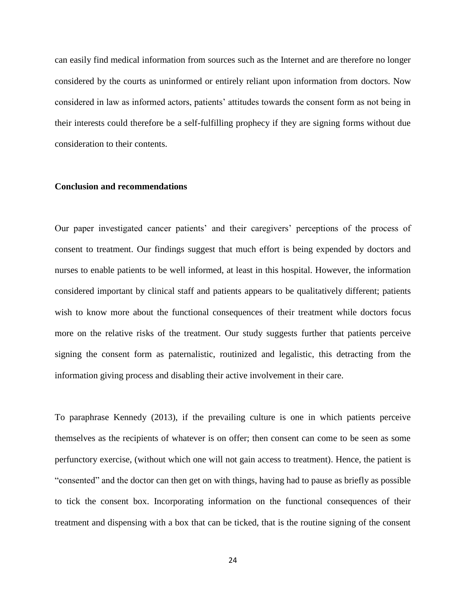can easily find medical information from sources such as the Internet and are therefore no longer considered by the courts as uninformed or entirely reliant upon information from doctors. Now considered in law as informed actors, patients' attitudes towards the consent form as not being in their interests could therefore be a self-fulfilling prophecy if they are signing forms without due consideration to their contents.

## **Conclusion and recommendations**

Our paper investigated cancer patients' and their caregivers' perceptions of the process of consent to treatment. Our findings suggest that much effort is being expended by doctors and nurses to enable patients to be well informed, at least in this hospital. However, the information considered important by clinical staff and patients appears to be qualitatively different; patients wish to know more about the functional consequences of their treatment while doctors focus more on the relative risks of the treatment. Our study suggests further that patients perceive signing the consent form as paternalistic, routinized and legalistic, this detracting from the information giving process and disabling their active involvement in their care.

To paraphrase Kennedy (2013), if the prevailing culture is one in which patients perceive themselves as the recipients of whatever is on offer; then consent can come to be seen as some perfunctory exercise, (without which one will not gain access to treatment). Hence, the patient is "consented" and the doctor can then get on with things, having had to pause as briefly as possible to tick the consent box. Incorporating information on the functional consequences of their treatment and dispensing with a box that can be ticked, that is the routine signing of the consent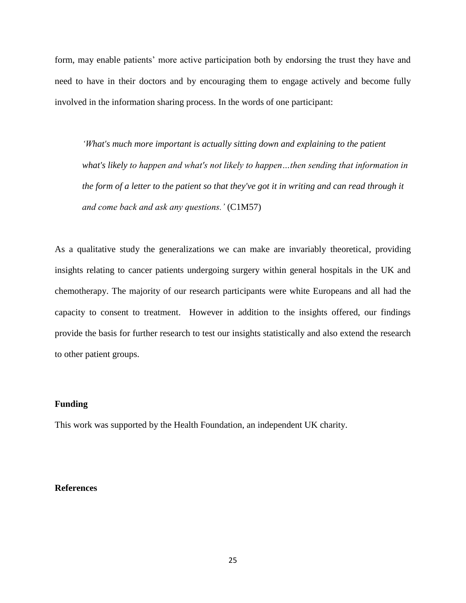form, may enable patients' more active participation both by endorsing the trust they have and need to have in their doctors and by encouraging them to engage actively and become fully involved in the information sharing process. In the words of one participant:

*'What's much more important is actually sitting down and explaining to the patient what's likely to happen and what's not likely to happen…then sending that information in the form of a letter to the patient so that they've got it in writing and can read through it and come back and ask any questions.'* (C1M57)

As a qualitative study the generalizations we can make are invariably theoretical, providing insights relating to cancer patients undergoing surgery within general hospitals in the UK and chemotherapy. The majority of our research participants were white Europeans and all had the capacity to consent to treatment. However in addition to the insights offered, our findings provide the basis for further research to test our insights statistically and also extend the research to other patient groups.

## **Funding**

This work was supported by the Health Foundation, an independent UK charity.

## **References**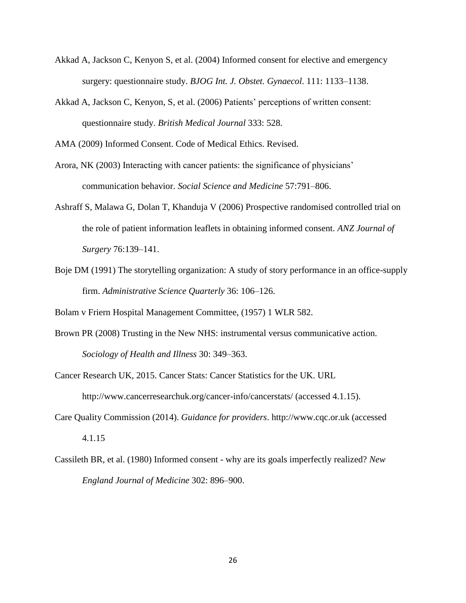- Akkad A, Jackson C, Kenyon S, et al. (2004) Informed consent for elective and emergency surgery: questionnaire study. *BJOG Int. J. Obstet. Gynaecol*. 111: 1133–1138.
- Akkad A, Jackson C, Kenyon, S, et al. (2006) Patients' perceptions of written consent: questionnaire study. *British Medical Journal* 333: 528.

AMA (2009) Informed Consent. Code of Medical Ethics. Revised.

Arora, NK (2003) Interacting with cancer patients: the significance of physicians' communication behavior. *Social Science and Medicine* 57:791–806.

- Ashraff S, Malawa G, Dolan T, Khanduja V (2006) Prospective randomised controlled trial on the role of patient information leaflets in obtaining informed consent. *ANZ Journal of Surgery* 76:139–141.
- Boje DM (1991) The storytelling organization: A study of story performance in an office-supply firm. *Administrative Science Quarterly* 36: 106–126.

Bolam v Friern Hospital Management Committee, (1957) 1 WLR 582.

- Brown PR (2008) Trusting in the New NHS: instrumental versus communicative action. *Sociology of Health and Illness* 30: 349–363.
- Cancer Research UK, 2015. Cancer Stats: Cancer Statistics for the UK. URL http://www.cancerresearchuk.org/cancer-info/cancerstats/ (accessed 4.1.15).
- Care Quality Commission (2014). *Guidance for providers*. http://www.cqc.or.uk (accessed 4.1.15
- Cassileth BR, et al. (1980) Informed consent why are its goals imperfectly realized? *New England Journal of Medicine* 302: 896–900.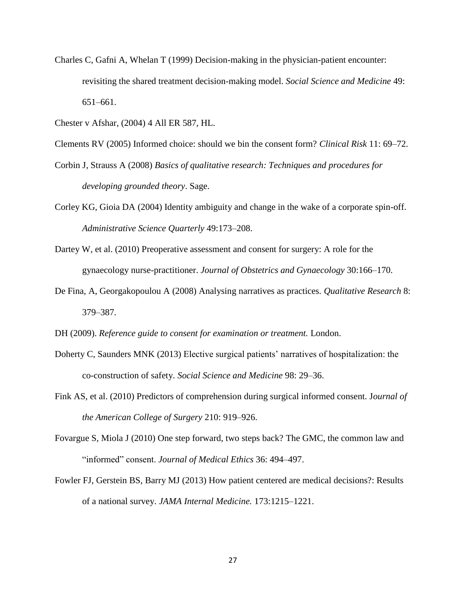Charles C, Gafni A, Whelan T (1999) Decision-making in the physician-patient encounter: revisiting the shared treatment decision-making model. *Social Science and Medicine* 49: 651–661.

Chester v Afshar, (2004) 4 All ER 587, HL.

Clements RV (2005) Informed choice: should we bin the consent form? *Clinical Risk* 11: 69–72.

- Corbin J, Strauss A (2008) *Basics of qualitative research: Techniques and procedures for developing grounded theory*. Sage.
- Corley KG, Gioia DA (2004) Identity ambiguity and change in the wake of a corporate spin-off. *Administrative Science Quarterly* 49:173–208.
- Dartey W, et al. (2010) Preoperative assessment and consent for surgery: A role for the gynaecology nurse-practitioner. *Journal of Obstetrics and Gynaecology* 30:166–170.
- De Fina, A, Georgakopoulou A (2008) Analysing narratives as practices. *Qualitative Research* 8: 379–387.

DH (2009). *Reference guide to consent for examination or treatment.* London.

- Doherty C, Saunders MNK (2013) Elective surgical patients' narratives of hospitalization: the co-construction of safety. *Social Science and Medicine* 98: 29–36.
- Fink AS, et al. (2010) Predictors of comprehension during surgical informed consent. J*ournal of the American College of Surgery* 210: 919–926.
- Fovargue S, Miola J (2010) One step forward, two steps back? The GMC, the common law and "informed" consent. *Journal of Medical Ethics* 36: 494–497.
- Fowler FJ, Gerstein BS, Barry MJ (2013) How patient centered are medical decisions?: Results of a national survey. *JAMA Internal Medicine.* 173:1215–1221.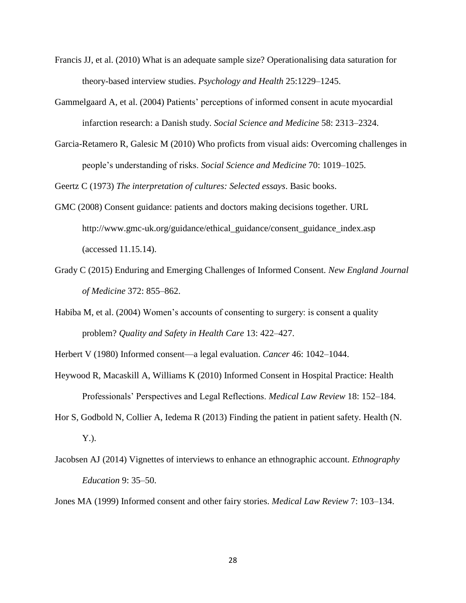- Francis JJ, et al. (2010) What is an adequate sample size? Operationalising data saturation for theory-based interview studies. *Psychology and Health* 25:1229–1245.
- Gammelgaard A, et al. (2004) Patients' perceptions of informed consent in acute myocardial infarction research: a Danish study. *Social Science and Medicine* 58: 2313–2324.
- Garcia-Retamero R, Galesic M (2010) Who proficts from visual aids: Overcoming challenges in people's understanding of risks. *Social Science and Medicine* 70: 1019–1025.

Geertz C (1973) *The interpretation of cultures: Selected essays*. Basic books.

- GMC (2008) Consent guidance: patients and doctors making decisions together. URL http://www.gmc-uk.org/guidance/ethical\_guidance/consent\_guidance\_index.asp (accessed 11.15.14).
- Grady C (2015) Enduring and Emerging Challenges of Informed Consent. *New England Journal of Medicine* 372: 855–862.
- Habiba M, et al. (2004) Women's accounts of consenting to surgery: is consent a quality problem? *Quality and Safety in Health Care* 13: 422–427.
- Herbert V (1980) Informed consent—a legal evaluation. *Cancer* 46: 1042–1044.
- Heywood R, Macaskill A, Williams K (2010) Informed Consent in Hospital Practice: Health Professionals' Perspectives and Legal Reflections. *Medical Law Review* 18: 152–184.
- Hor S, Godbold N, Collier A, Iedema R (2013) Finding the patient in patient safety. Health (N. Y.).
- Jacobsen AJ (2014) Vignettes of interviews to enhance an ethnographic account. *Ethnography Education* 9: 35–50.

Jones MA (1999) Informed consent and other fairy stories. *Medical Law Review* 7: 103–134.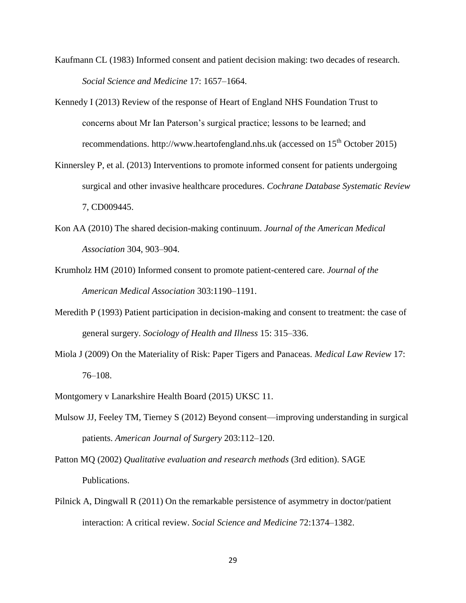- Kaufmann CL (1983) Informed consent and patient decision making: two decades of research. *Social Science and Medicine* 17: 1657–1664.
- Kennedy I (2013) Review of the response of Heart of England NHS Foundation Trust to concerns about Mr Ian Paterson's surgical practice; lessons to be learned; and recommendations. http://www.heartofengland.nhs.uk (accessed on 15<sup>th</sup> October 2015)
- Kinnersley P, et al. (2013) Interventions to promote informed consent for patients undergoing surgical and other invasive healthcare procedures. *Cochrane Database Systematic Review* 7, CD009445.
- Kon AA (2010) The shared decision-making continuum. *Journal of the American Medical Association* 304, 903–904.
- Krumholz HM (2010) Informed consent to promote patient-centered care. *Journal of the American Medical Association* 303:1190–1191.
- Meredith P (1993) Patient participation in decision-making and consent to treatment: the case of general surgery. *Sociology of Health and Illness* 15: 315–336.
- Miola J (2009) On the Materiality of Risk: Paper Tigers and Panaceas. *Medical Law Review* 17: 76–108.
- Montgomery v Lanarkshire Health Board (2015) UKSC 11.
- Mulsow JJ, Feeley TM, Tierney S (2012) Beyond consent—improving understanding in surgical patients. *American Journal of Surgery* 203:112–120.
- Patton MQ (2002) *Qualitative evaluation and research methods* (3rd edition). SAGE Publications.
- Pilnick A, Dingwall R (2011) On the remarkable persistence of asymmetry in doctor/patient interaction: A critical review. *Social Science and Medicine* 72:1374–1382.